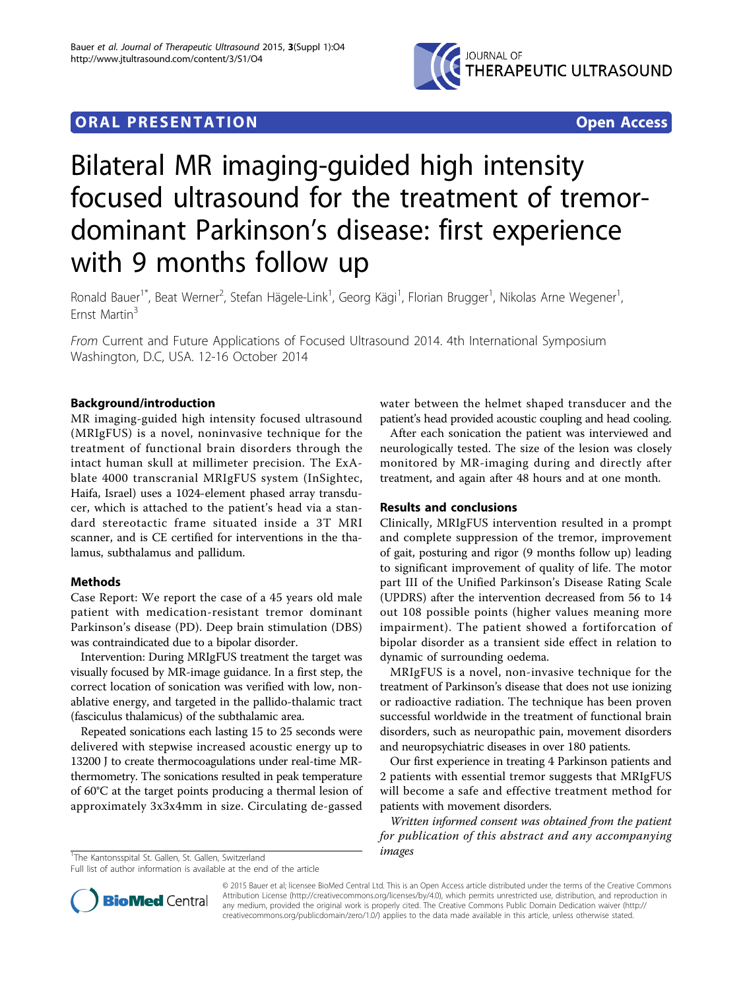

## **ORAL PRESENTATION OPEN ACCESS**

# Bilateral MR imaging-guided high intensity focused ultrasound for the treatment of tremordominant Parkinson's disease: first experience with 9 months follow up

Ronald Bauer<sup>1\*</sup>, Beat Werner<sup>2</sup>, Stefan Hägele-Link<sup>1</sup>, Georg Kägi<sup>1</sup>, Florian Brugger<sup>1</sup>, Nikolas Arne Wegener<sup>1</sup> , Ernst Martin<sup>3</sup>

From Current and Future Applications of Focused Ultrasound 2014. 4th International Symposium Washington, D.C, USA. 12-16 October 2014

### Background/introduction

MR imaging-guided high intensity focused ultrasound (MRIgFUS) is a novel, noninvasive technique for the treatment of functional brain disorders through the intact human skull at millimeter precision. The ExAblate 4000 transcranial MRIgFUS system (InSightec, Haifa, Israel) uses a 1024-element phased array transducer, which is attached to the patient's head via a standard stereotactic frame situated inside a 3T MRI scanner, and is CE certified for interventions in the thalamus, subthalamus and pallidum.

#### Methods

Case Report: We report the case of a 45 years old male patient with medication-resistant tremor dominant Parkinson's disease (PD). Deep brain stimulation (DBS) was contraindicated due to a bipolar disorder.

Intervention: During MRIgFUS treatment the target was visually focused by MR-image guidance. In a first step, the correct location of sonication was verified with low, nonablative energy, and targeted in the pallido-thalamic tract (fasciculus thalamicus) of the subthalamic area.

Repeated sonications each lasting 15 to 25 seconds were delivered with stepwise increased acoustic energy up to 13200 J to create thermocoagulations under real-time MRthermometry. The sonications resulted in peak temperature of 60°C at the target points producing a thermal lesion of approximately 3x3x4mm in size. Circulating de-gassed

 $\frac{1}{1}$ The Kantonsspital St. Gallen, St. Gallen, Switzerland

Full list of author information is available at the end of the article

water between the helmet shaped transducer and the patient's head provided acoustic coupling and head cooling.

After each sonication the patient was interviewed and neurologically tested. The size of the lesion was closely monitored by MR-imaging during and directly after treatment, and again after 48 hours and at one month.

#### Results and conclusions

Clinically, MRIgFUS intervention resulted in a prompt and complete suppression of the tremor, improvement of gait, posturing and rigor (9 months follow up) leading to significant improvement of quality of life. The motor part III of the Unified Parkinson's Disease Rating Scale (UPDRS) after the intervention decreased from 56 to 14 out 108 possible points (higher values meaning more impairment). The patient showed a fortiforcation of bipolar disorder as a transient side effect in relation to dynamic of surrounding oedema.

MRIgFUS is a novel, non-invasive technique for the treatment of Parkinson's disease that does not use ionizing or radioactive radiation. The technique has been proven successful worldwide in the treatment of functional brain disorders, such as neuropathic pain, movement disorders and neuropsychiatric diseases in over 180 patients.

Our first experience in treating 4 Parkinson patients and 2 patients with essential tremor suggests that MRIgFUS will become a safe and effective treatment method for patients with movement disorders.

Written informed consent was obtained from the patient for publication of this abstract and any accompanying



© 2015 Bauer et al; licensee BioMed Central Ltd. This is an Open Access article distributed under the terms of the Creative Commons Attribution License [\(http://creativecommons.org/licenses/by/4.0](http://creativecommons.org/licenses/by/4.0)), which permits unrestricted use, distribution, and reproduction in any medium, provided the original work is properly cited. The Creative Commons Public Domain Dedication waiver [\(http://](http://creativecommons.org/publicdomain/zero/1.0/) [creativecommons.org/publicdomain/zero/1.0/](http://creativecommons.org/publicdomain/zero/1.0/)) applies to the data made available in this article, unless otherwise stated.